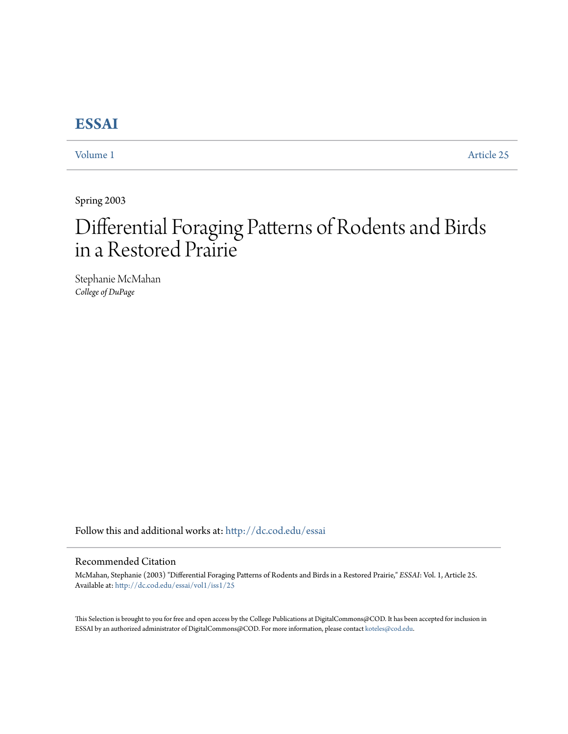# **[ESSAI](http://dc.cod.edu/essai?utm_source=dc.cod.edu%2Fessai%2Fvol1%2Fiss1%2F25&utm_medium=PDF&utm_campaign=PDFCoverPages)**

[Volume 1](http://dc.cod.edu/essai/vol1?utm_source=dc.cod.edu%2Fessai%2Fvol1%2Fiss1%2F25&utm_medium=PDF&utm_campaign=PDFCoverPages) [Article 25](http://dc.cod.edu/essai/vol1/iss1/25?utm_source=dc.cod.edu%2Fessai%2Fvol1%2Fiss1%2F25&utm_medium=PDF&utm_campaign=PDFCoverPages)

Spring 2003

# Differential Foraging Patterns of Rodents and Birds in a Restored Prairie

Stephanie McMahan *College of DuPage*

Follow this and additional works at: [http://dc.cod.edu/essai](http://dc.cod.edu/essai?utm_source=dc.cod.edu%2Fessai%2Fvol1%2Fiss1%2F25&utm_medium=PDF&utm_campaign=PDFCoverPages)

# Recommended Citation

McMahan, Stephanie (2003) "Differential Foraging Patterns of Rodents and Birds in a Restored Prairie," *ESSAI*: Vol. 1, Article 25. Available at: [http://dc.cod.edu/essai/vol1/iss1/25](http://dc.cod.edu/essai/vol1/iss1/25?utm_source=dc.cod.edu%2Fessai%2Fvol1%2Fiss1%2F25&utm_medium=PDF&utm_campaign=PDFCoverPages)

This Selection is brought to you for free and open access by the College Publications at DigitalCommons@COD. It has been accepted for inclusion in ESSAI by an authorized administrator of DigitalCommons@COD. For more information, please contact [koteles@cod.edu](mailto:koteles@cod.edu).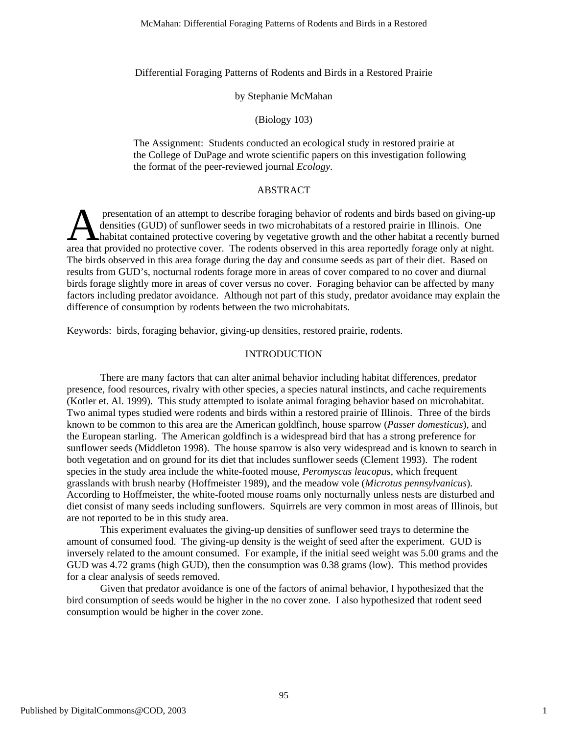Differential Foraging Patterns of Rodents and Birds in a Restored Prairie

## by Stephanie McMahan

## (Biology 103)

The Assignment: Students conducted an ecological study in restored prairie at the College of DuPage and wrote scientific papers on this investigation following the format of the peer-reviewed journal *Ecology*.

# ABSTRACT

presentation of an attempt to describe foraging behavior of rodents and birds based on giving-up densities (GUD) of sunflower seeds in two microhabitats of a restored prairie in Illinois. One **habitat contained protective covering by vegetative growth and the other habitat a recently burned**<br> **A** habitat contained protective covering by vegetative growth and the other habitat a recently burned<br>
area that provid area that provided no protective cover. The rodents observed in this area reportedly forage only at night. The birds observed in this area forage during the day and consume seeds as part of their diet. Based on results from GUD's, nocturnal rodents forage more in areas of cover compared to no cover and diurnal birds forage slightly more in areas of cover versus no cover. Foraging behavior can be affected by many factors including predator avoidance. Although not part of this study, predator avoidance may explain the difference of consumption by rodents between the two microhabitats.

Keywords: birds, foraging behavior, giving-up densities, restored prairie, rodents.

# INTRODUCTION

There are many factors that can alter animal behavior including habitat differences, predator presence, food resources, rivalry with other species, a species natural instincts, and cache requirements (Kotler et. Al. 1999). This study attempted to isolate animal foraging behavior based on microhabitat. Two animal types studied were rodents and birds within a restored prairie of Illinois. Three of the birds known to be common to this area are the American goldfinch, house sparrow (*Passer domesticus*), and the European starling. The American goldfinch is a widespread bird that has a strong preference for sunflower seeds (Middleton 1998). The house sparrow is also very widespread and is known to search in both vegetation and on ground for its diet that includes sunflower seeds (Clement 1993). The rodent species in the study area include the white-footed mouse, *Peromyscus leucopus*, which frequent grasslands with brush nearby (Hoffmeister 1989), and the meadow vole (*Microtus pennsylvanicus*). According to Hoffmeister, the white-footed mouse roams only nocturnally unless nests are disturbed and diet consist of many seeds including sunflowers. Squirrels are very common in most areas of Illinois, but are not reported to be in this study area.

This experiment evaluates the giving-up densities of sunflower seed trays to determine the amount of consumed food. The giving-up density is the weight of seed after the experiment. GUD is inversely related to the amount consumed. For example, if the initial seed weight was 5.00 grams and the GUD was 4.72 grams (high GUD), then the consumption was 0.38 grams (low). This method provides for a clear analysis of seeds removed.

Given that predator avoidance is one of the factors of animal behavior, I hypothesized that the bird consumption of seeds would be higher in the no cover zone. I also hypothesized that rodent seed consumption would be higher in the cover zone.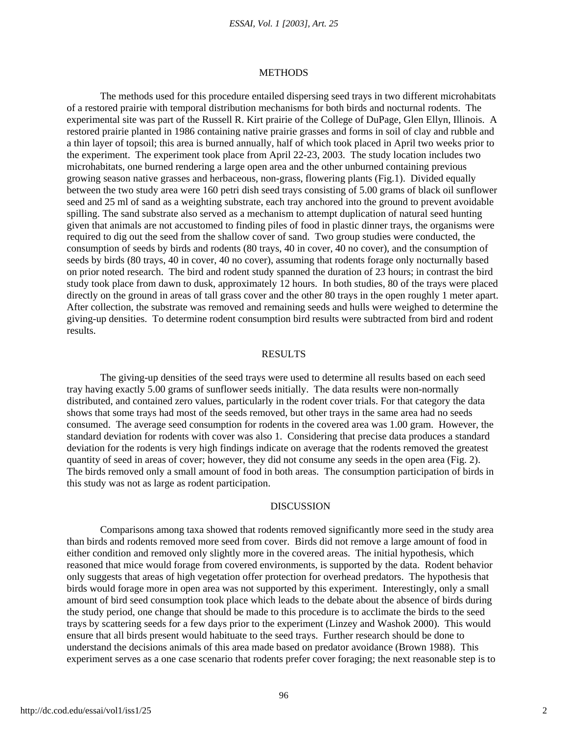#### *ESSAI, Vol. 1 [2003], Art. 25*

#### METHODS

The methods used for this procedure entailed dispersing seed trays in two different microhabitats of a restored prairie with temporal distribution mechanisms for both birds and nocturnal rodents. The experimental site was part of the Russell R. Kirt prairie of the College of DuPage, Glen Ellyn, Illinois. A restored prairie planted in 1986 containing native prairie grasses and forms in soil of clay and rubble and a thin layer of topsoil; this area is burned annually, half of which took placed in April two weeks prior to the experiment. The experiment took place from April 22-23, 2003. The study location includes two microhabitats, one burned rendering a large open area and the other unburned containing previous growing season native grasses and herbaceous, non-grass, flowering plants (Fig.1). Divided equally between the two study area were 160 petri dish seed trays consisting of 5.00 grams of black oil sunflower seed and 25 ml of sand as a weighting substrate, each tray anchored into the ground to prevent avoidable spilling. The sand substrate also served as a mechanism to attempt duplication of natural seed hunting given that animals are not accustomed to finding piles of food in plastic dinner trays, the organisms were required to dig out the seed from the shallow cover of sand. Two group studies were conducted, the consumption of seeds by birds and rodents (80 trays, 40 in cover, 40 no cover), and the consumption of seeds by birds (80 trays, 40 in cover, 40 no cover), assuming that rodents forage only nocturnally based on prior noted research. The bird and rodent study spanned the duration of 23 hours; in contrast the bird study took place from dawn to dusk, approximately 12 hours. In both studies, 80 of the trays were placed directly on the ground in areas of tall grass cover and the other 80 trays in the open roughly 1 meter apart. After collection, the substrate was removed and remaining seeds and hulls were weighed to determine the giving-up densities. To determine rodent consumption bird results were subtracted from bird and rodent results.

# **RESULTS**

The giving-up densities of the seed trays were used to determine all results based on each seed tray having exactly 5.00 grams of sunflower seeds initially. The data results were non-normally distributed, and contained zero values, particularly in the rodent cover trials. For that category the data shows that some trays had most of the seeds removed, but other trays in the same area had no seeds consumed. The average seed consumption for rodents in the covered area was 1.00 gram. However, the standard deviation for rodents with cover was also 1. Considering that precise data produces a standard deviation for the rodents is very high findings indicate on average that the rodents removed the greatest quantity of seed in areas of cover; however, they did not consume any seeds in the open area (Fig. 2). The birds removed only a small amount of food in both areas. The consumption participation of birds in this study was not as large as rodent participation.

#### DISCUSSION

Comparisons among taxa showed that rodents removed significantly more seed in the study area than birds and rodents removed more seed from cover. Birds did not remove a large amount of food in either condition and removed only slightly more in the covered areas. The initial hypothesis, which reasoned that mice would forage from covered environments, is supported by the data. Rodent behavior only suggests that areas of high vegetation offer protection for overhead predators. The hypothesis that birds would forage more in open area was not supported by this experiment. Interestingly, only a small amount of bird seed consumption took place which leads to the debate about the absence of birds during the study period, one change that should be made to this procedure is to acclimate the birds to the seed trays by scattering seeds for a few days prior to the experiment (Linzey and Washok 2000). This would ensure that all birds present would habituate to the seed trays. Further research should be done to understand the decisions animals of this area made based on predator avoidance (Brown 1988). This experiment serves as a one case scenario that rodents prefer cover foraging; the next reasonable step is to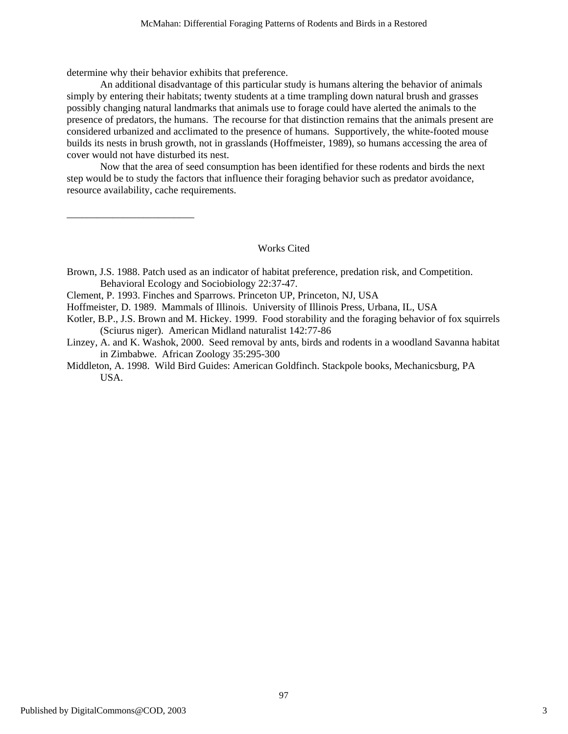determine why their behavior exhibits that preference.

An additional disadvantage of this particular study is humans altering the behavior of animals simply by entering their habitats; twenty students at a time trampling down natural brush and grasses possibly changing natural landmarks that animals use to forage could have alerted the animals to the presence of predators, the humans. The recourse for that distinction remains that the animals present are considered urbanized and acclimated to the presence of humans. Supportively, the white-footed mouse builds its nests in brush growth, not in grasslands (Hoffmeister, 1989), so humans accessing the area of cover would not have disturbed its nest.

Now that the area of seed consumption has been identified for these rodents and birds the next step would be to study the factors that influence their foraging behavior such as predator avoidance, resource availability, cache requirements.

\_\_\_\_\_\_\_\_\_\_\_\_\_\_\_\_\_\_\_\_\_\_\_\_\_

#### Works Cited

- Brown, J.S. 1988. Patch used as an indicator of habitat preference, predation risk, and Competition. Behavioral Ecology and Sociobiology 22:37-47.
- Clement, P. 1993. Finches and Sparrows. Princeton UP, Princeton, NJ, USA
- Hoffmeister, D. 1989. Mammals of Illinois. University of Illinois Press, Urbana, IL, USA
- Kotler, B.P., J.S. Brown and M. Hickey. 1999. Food storability and the foraging behavior of fox squirrels (Sciurus niger). American Midland naturalist 142:77-86
- Linzey, A. and K. Washok, 2000. Seed removal by ants, birds and rodents in a woodland Savanna habitat in Zimbabwe. African Zoology 35:295-300
- Middleton, A. 1998. Wild Bird Guides: American Goldfinch. Stackpole books, Mechanicsburg, PA USA.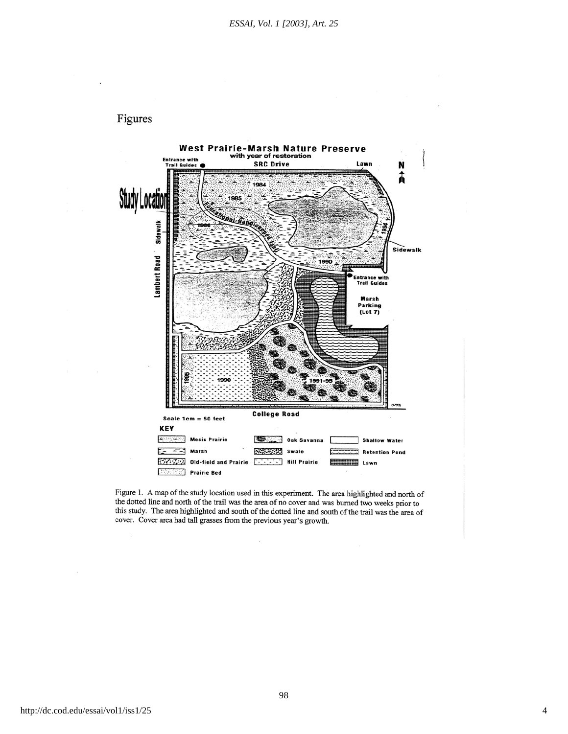



Figure 1. A map of the study location used in this experiment. The area highlighted and north of the dotted line and north of the trail was the area of no cover and was burned two weeks prior to this study. The area highlighted and south of the dotted line and south of the trail was the area of cover. Cover area had tall grasses from the previous year's growth.